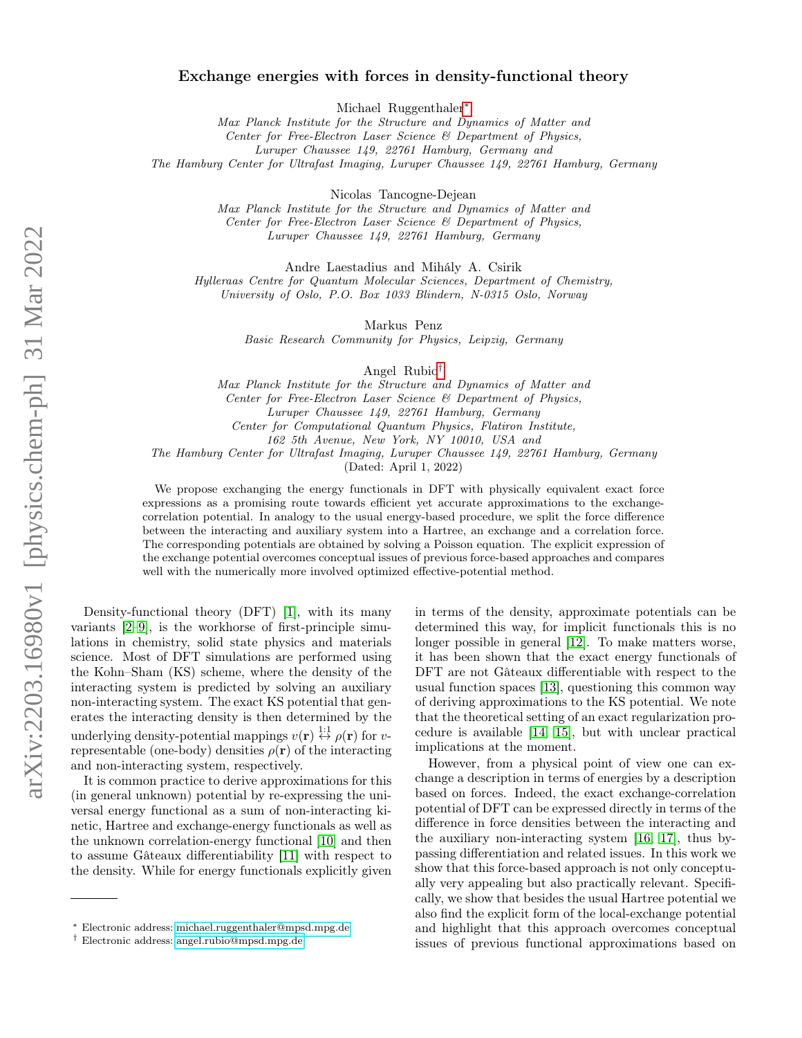# Exchange energies with forces in density-functional theory

Michael Ruggenthaler[∗](#page-0-0)

Max Planck Institute for the Structure and Dynamics of Matter and Center for Free-Electron Laser Science & Department of Physics, Luruper Chaussee 149, 22761 Hamburg, Germany and

The Hamburg Center for Ultrafast Imaging, Luruper Chaussee 149, 22761 Hamburg, Germany

Nicolas Tancogne-Dejean

Max Planck Institute for the Structure and Dynamics of Matter and Center for Free-Electron Laser Science & Department of Physics, Luruper Chaussee 149, 22761 Hamburg, Germany

Andre Laestadius and Mihály A. Csirik

Hylleraas Centre for Quantum Molecular Sciences, Department of Chemistry, University of Oslo, P.O. Box 1033 Blindern, N-0315 Oslo, Norway

Markus Penz

Basic Research Community for Physics, Leipzig, Germany

Angel Rubio[†](#page-0-1)

Max Planck Institute for the Structure and Dynamics of Matter and Center for Free-Electron Laser Science & Department of Physics, Luruper Chaussee 149, 22761 Hamburg, Germany Center for Computational Quantum Physics, Flatiron Institute, 162 5th Avenue, New York, NY 10010, USA and

The Hamburg Center for Ultrafast Imaging, Luruper Chaussee 149, 22761 Hamburg, Germany

(Dated: April 1, 2022)

We propose exchanging the energy functionals in DFT with physically equivalent exact force expressions as a promising route towards efficient yet accurate approximations to the exchangecorrelation potential. In analogy to the usual energy-based procedure, we split the force difference between the interacting and auxiliary system into a Hartree, an exchange and a correlation force. The corresponding potentials are obtained by solving a Poisson equation. The explicit expression of the exchange potential overcomes conceptual issues of previous force-based approaches and compares well with the numerically more involved optimized effective-potential method.

Density-functional theory (DFT) [\[1\]](#page-4-0), with its many variants [\[2–](#page-4-1)[9\]](#page-4-2), is the workhorse of first-principle simulations in chemistry, solid state physics and materials science. Most of DFT simulations are performed using the Kohn–Sham (KS) scheme, where the density of the interacting system is predicted by solving an auxiliary non-interacting system. The exact KS potential that generates the interacting density is then determined by the underlying density-potential mappings  $v(\mathbf{r}) \stackrel{1:1}{\leftrightarrow} \rho(\mathbf{r})$  for vrepresentable (one-body) densities  $\rho(\mathbf{r})$  of the interacting and non-interacting system, respectively.

It is common practice to derive approximations for this (in general unknown) potential by re-expressing the universal energy functional as a sum of non-interacting kinetic, Hartree and exchange-energy functionals as well as the unknown correlation-energy functional [\[10\]](#page-4-3) and then to assume Gâteaux differentiability [\[11\]](#page-4-4) with respect to the density. While for energy functionals explicitly given in terms of the density, approximate potentials can be determined this way, for implicit functionals this is no longer possible in general [\[12\]](#page-4-5). To make matters worse, it has been shown that the exact energy functionals of DFT are not Gâteaux differentiable with respect to the usual function spaces [\[13\]](#page-4-6), questioning this common way of deriving approximations to the KS potential. We note that the theoretical setting of an exact regularization procedure is available [\[14,](#page-4-7) [15\]](#page-4-8), but with unclear practical implications at the moment.

However, from a physical point of view one can exchange a description in terms of energies by a description based on forces. Indeed, the exact exchange-correlation potential of DFT can be expressed directly in terms of the difference in force densities between the interacting and the auxiliary non-interacting system [\[16,](#page-4-9) [17\]](#page-4-10), thus bypassing differentiation and related issues. In this work we show that this force-based approach is not only conceptually very appealing but also practically relevant. Specifically, we show that besides the usual Hartree potential we also find the explicit form of the local-exchange potential and highlight that this approach overcomes conceptual issues of previous functional approximations based on

<span id="page-0-0"></span><sup>∗</sup> Electronic address: [michael.ruggenthaler@mpsd.mpg.de](mailto:michael.ruggenthaler@mpsd.mpg.de)

<span id="page-0-1"></span><sup>†</sup> Electronic address: [angel.rubio@mpsd.mpg.de](mailto:angel.rubio@mpsd.mpg.de)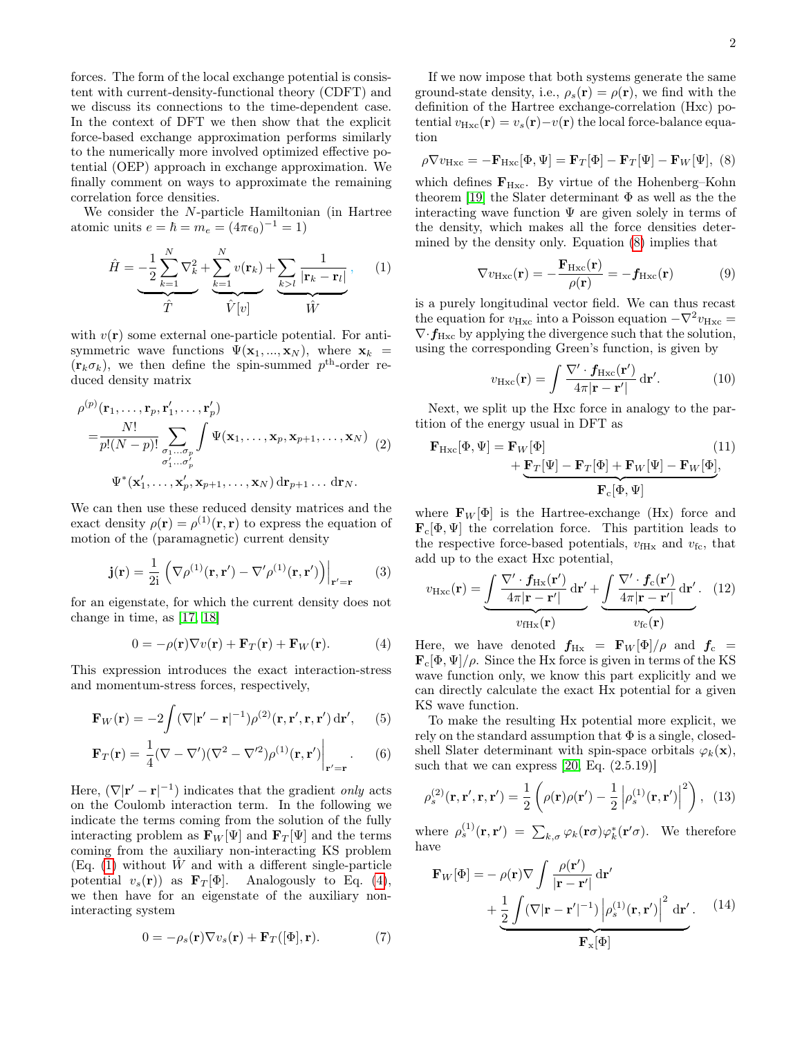forces. The form of the local exchange potential is consistent with current-density-functional theory (CDFT) and we discuss its connections to the time-dependent case. In the context of DFT we then show that the explicit force-based exchange approximation performs similarly to the numerically more involved optimized effective potential (OEP) approach in exchange approximation. We finally comment on ways to approximate the remaining correlation force densities.

We consider the N-particle Hamiltonian (in Hartree atomic units  $e = \hbar = m_e = (4\pi\epsilon_0)^{-1} = 1$ 

$$
\hat{H} = -\frac{1}{2} \sum_{k=1}^{N} \nabla_k^2 + \sum_{k=1}^{N} v(\mathbf{r}_k) + \sum_{k>l} \frac{1}{|\mathbf{r}_k - \mathbf{r}_l|},\qquad(1)
$$
\n
$$
\hat{T} \qquad \hat{V}[v]
$$

with  $v(\mathbf{r})$  some external one-particle potential. For antisymmetric wave functions  $\Psi(\mathbf{x}_1, ..., \mathbf{x}_N)$ , where  $\mathbf{x}_k$  =  $(\mathbf{r}_{k}\sigma_{k})$ , we then define the spin-summed  $p^{\text{th}}$ -order reduced density matrix

$$
\rho^{(p)}(\mathbf{r}_1,\ldots,\mathbf{r}_p,\mathbf{r}'_1,\ldots,\mathbf{r}'_p) = \frac{N!}{p!(N-p)!} \sum_{\substack{\sigma_1\ldots\sigma_p \\ \sigma'_1\ldots\sigma'_p}} \int \Psi(\mathbf{x}_1,\ldots,\mathbf{x}_p,\mathbf{x}_{p+1},\ldots,\mathbf{x}_N) \tag{2}
$$
\n
$$
\Psi^*(\mathbf{x}'_1,\ldots,\mathbf{x}'_p,\mathbf{x}_{p+1},\ldots,\mathbf{x}_N) \, d\mathbf{r}_{p+1}\ldots d\mathbf{r}_N.
$$

We can then use these reduced density matrices and the exact density  $\rho(\mathbf{r}) = \rho^{(1)}(\mathbf{r}, \mathbf{r})$  to express the equation of motion of the (paramagnetic) current density

$$
\mathbf{j}(\mathbf{r}) = \frac{1}{2i} \left( \nabla \rho^{(1)}(\mathbf{r}, \mathbf{r}') - \nabla' \rho^{(1)}(\mathbf{r}, \mathbf{r}') \right)\Big|_{\mathbf{r}' = \mathbf{r}} \qquad (3)
$$

for an eigenstate, for which the current density does not change in time, as [\[17,](#page-4-10) [18\]](#page-4-11)

$$
0 = -\rho(\mathbf{r}) \nabla v(\mathbf{r}) + \mathbf{F}_T(\mathbf{r}) + \mathbf{F}_W(\mathbf{r}). \tag{4}
$$

This expression introduces the exact interaction-stress and momentum-stress forces, respectively,

$$
\mathbf{F}_W(\mathbf{r}) = -2 \int (\nabla |\mathbf{r}' - \mathbf{r}|^{-1}) \rho^{(2)}(\mathbf{r}, \mathbf{r}', \mathbf{r}, \mathbf{r}') d\mathbf{r}', \qquad (5)
$$

$$
\mathbf{F}_T(\mathbf{r}) = \frac{1}{4} (\nabla - \nabla') (\nabla^2 - \nabla'^2) \rho^{(1)}(\mathbf{r}, \mathbf{r'}) \Big|_{\mathbf{r'} = \mathbf{r}}.
$$
 (6)

Here,  $(\nabla |\mathbf{r}' - \mathbf{r}|^{-1})$  indicates that the gradient only acts on the Coulomb interaction term. In the following we indicate the terms coming from the solution of the fully interacting problem as  $\mathbf{F}_W[\Psi]$  and  $\mathbf{F}_T[\Psi]$  and the terms coming from the auxiliary non-interacting KS problem (Eq. [\(1\)](#page-1-0) without  $\hat{W}$  and with a different single-particle potential  $v_s(\mathbf{r})$  as  $\mathbf{F}_T[\Phi]$ . Analogously to Eq. [\(4\)](#page-1-1), we then have for an eigenstate of the auxiliary noninteracting system

$$
0 = -\rho_s(\mathbf{r}) \nabla v_s(\mathbf{r}) + \mathbf{F}_T([\Phi], \mathbf{r}). \tag{7}
$$

If we now impose that both systems generate the same ground-state density, i.e.,  $\rho_s(\mathbf{r}) = \rho(\mathbf{r})$ , we find with the definition of the Hartree exchange-correlation (Hxc) potential  $v_{Hxc}(\mathbf{r}) = v_s(\mathbf{r}) - v(\mathbf{r})$  the local force-balance equation

<span id="page-1-2"></span>
$$
\rho \nabla v_{\text{Hxc}} = -\mathbf{F}_{\text{Hxc}}[\Phi, \Psi] = \mathbf{F}_T[\Phi] - \mathbf{F}_T[\Psi] - \mathbf{F}_W[\Psi], \tag{8}
$$

which defines  $\mathbf{F}_{\text{Hxc}}$ . By virtue of the Hohenberg–Kohn theorem [\[19\]](#page-4-12) the Slater determinant  $\Phi$  as well as the the interacting wave function  $\Psi$  are given solely in terms of the density, which makes all the force densities determined by the density only. Equation [\(8\)](#page-1-2) implies that

<span id="page-1-4"></span>
$$
\nabla v_{\rm Hxc}(\mathbf{r}) = -\frac{\mathbf{F}_{\rm Hxc}(\mathbf{r})}{\rho(\mathbf{r})} = -\mathbf{f}_{\rm Hxc}(\mathbf{r})
$$
(9)

<span id="page-1-0"></span>is a purely longitudinal vector field. We can thus recast the equation for  $v_{Hxc}$  into a Poisson equation  $-\nabla^2 v_{Hxc} =$  $\nabla \cdot f_{\text{Hxc}}$  by applying the divergence such that the solution, using the corresponding Green's function, is given by

$$
v_{\rm Hxc}(\mathbf{r}) = \int \frac{\nabla' \cdot f_{\rm Hxc}(\mathbf{r}')}{4\pi |\mathbf{r} - \mathbf{r}'|} d\mathbf{r}'. \tag{10}
$$

Next, we split up the Hxc force in analogy to the partition of the energy usual in DFT as

$$
\mathbf{F}_{\text{Hxc}}[\Phi, \Psi] = \mathbf{F}_W[\Phi] \tag{11}
$$
\n
$$
+ \underbrace{\mathbf{F}_T[\Psi] - \mathbf{F}_T[\Phi] + \mathbf{F}_W[\Psi] - \mathbf{F}_W[\Phi]}_{\mathbf{F}_c[\Phi, \Psi]}.
$$

where  $\mathbf{F}_W[\Phi]$  is the Hartree-exchange (Hx) force and  $\mathbf{F}_c[\Phi,\Psi]$  the correlation force. This partition leads to the respective force-based potentials,  $v_{\text{fHx}}$  and  $v_{\text{fc}}$ , that add up to the exact Hxc potential,

<span id="page-1-3"></span>
$$
v_{\rm Hxc}(\mathbf{r}) = \underbrace{\int \frac{\nabla' \cdot f_{\rm Hx}(\mathbf{r}')}{4\pi |\mathbf{r} - \mathbf{r}'|} d\mathbf{r}'}_{v_{\rm fHx}(\mathbf{r})} + \underbrace{\int \frac{\nabla' \cdot f_{\rm c}(\mathbf{r}')}{4\pi |\mathbf{r} - \mathbf{r}'|} d\mathbf{r}'}_{v_{\rm fc}(\mathbf{r})}.
$$
 (12)

<span id="page-1-1"></span>Here, we have denoted  $f_{Hx} = \mathbf{F}_W[\Phi]/\rho$  and  $f_c =$  $\mathbf{F}_c[\Phi,\Psi]/\rho$ . Since the Hx force is given in terms of the KS wave function only, we know this part explicitly and we can directly calculate the exact Hx potential for a given KS wave function.

To make the resulting Hx potential more explicit, we rely on the standard assumption that  $\Phi$  is a single, closedshell Slater determinant with spin-space orbitals  $\varphi_k(\mathbf{x})$ , such that we can express  $[20, Eq. (2.5.19)]$  $[20, Eq. (2.5.19)]$ 

$$
\rho_s^{(2)}(\mathbf{r}, \mathbf{r}', \mathbf{r}, \mathbf{r}') = \frac{1}{2} \left( \rho(\mathbf{r}) \rho(\mathbf{r}') - \frac{1}{2} \left| \rho_s^{(1)}(\mathbf{r}, \mathbf{r}') \right|^2 \right), \tag{13}
$$

where  $\rho_s^{(1)}(\mathbf{r}, \mathbf{r}') = \sum_{k,\sigma} \varphi_k(\mathbf{r}\sigma) \varphi_k^*(\mathbf{r}'\sigma)$ . We therefore have

<span id="page-1-5"></span>
$$
\mathbf{F}_{W}[\Phi] = -\rho(\mathbf{r})\nabla \int \frac{\rho(\mathbf{r}')}{|\mathbf{r} - \mathbf{r}'|} d\mathbf{r}'\n+ \frac{1}{2} \int (\nabla |\mathbf{r} - \mathbf{r}'|^{-1}) |\rho_s^{(1)}(\mathbf{r}, \mathbf{r}')|^2 d\mathbf{r}'.
$$
\n(14)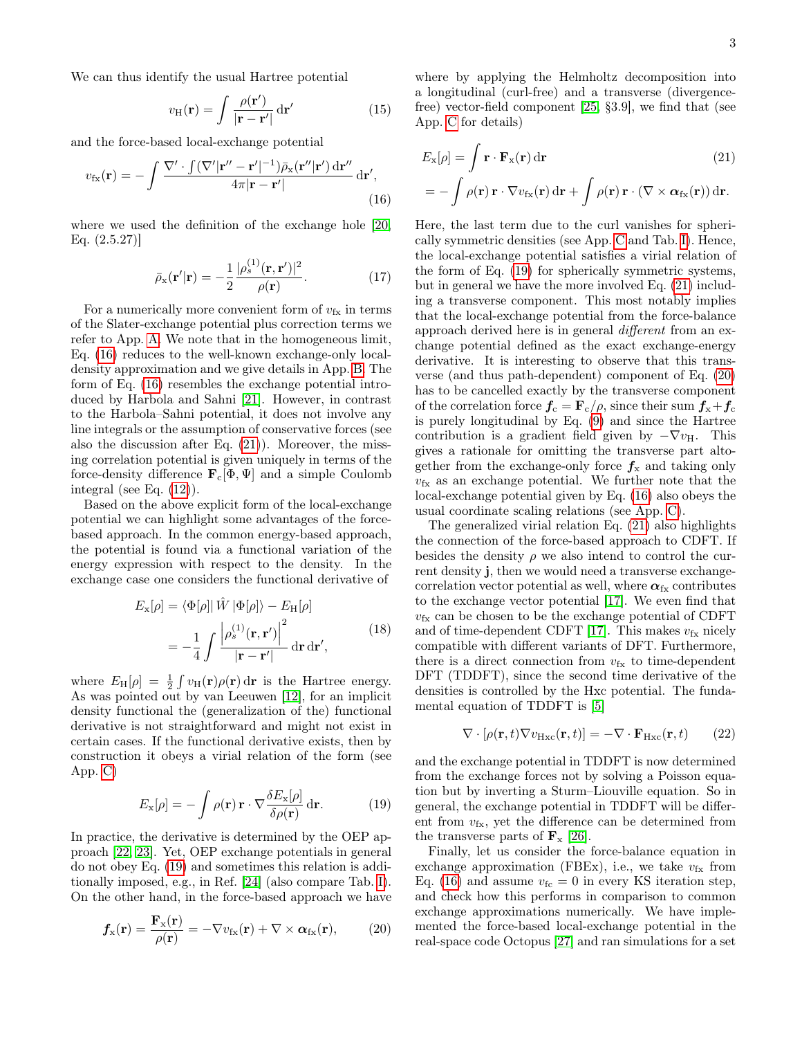We can thus identify the usual Hartree potential

$$
v_{\rm H}(\mathbf{r}) = \int \frac{\rho(\mathbf{r}')}{|\mathbf{r} - \mathbf{r}'|} d\mathbf{r}'
$$
 (15)

and the force-based local-exchange potential

$$
v_{\rm fx}(\mathbf{r}) = -\int \frac{\nabla' \cdot \int (\nabla' |\mathbf{r}'' - \mathbf{r}'|^{-1}) \bar{\rho}_{\rm x}(\mathbf{r}''|\mathbf{r}') \,\mathrm{d}\mathbf{r}''}{4\pi |\mathbf{r} - \mathbf{r}'|} \,\mathrm{d}\mathbf{r}',\tag{16}
$$

where we used the definition of the exchange hole [\[20,](#page-4-13) Eq. (2.5.27)]

$$
\bar{\rho}_{\mathbf{x}}(\mathbf{r}'|\mathbf{r}) = -\frac{1}{2} \frac{|\rho_s^{(1)}(\mathbf{r}, \mathbf{r}')|^2}{\rho(\mathbf{r})}.
$$
 (17)

For a numerically more convenient form of  $v_{fx}$  in terms of the Slater-exchange potential plus correction terms we refer to App. [A.](#page-5-0) We note that in the homogeneous limit, Eq. [\(16\)](#page-2-0) reduces to the well-known exchange-only localdensity approximation and we give details in App. [B.](#page-5-1) The form of Eq. [\(16\)](#page-2-0) resembles the exchange potential introduced by Harbola and Sahni [\[21\]](#page-4-14). However, in contrast to the Harbola–Sahni potential, it does not involve any line integrals or the assumption of conservative forces (see also the discussion after Eq. [\(21\)](#page-2-1)). Moreover, the missing correlation potential is given uniquely in terms of the force-density difference  $\mathbf{F}_c[\Phi, \Psi]$  and a simple Coulomb integral (see Eq. [\(12\)](#page-1-3)).

Based on the above explicit form of the local-exchange potential we can highlight some advantages of the forcebased approach. In the common energy-based approach, the potential is found via a functional variation of the energy expression with respect to the density. In the exchange case one considers the functional derivative of

<span id="page-2-4"></span>
$$
E_{\mathbf{x}}[\rho] = \langle \Phi[\rho] | \hat{W} | \Phi[\rho] \rangle - E_{\mathbf{H}}[\rho]
$$

$$
= -\frac{1}{4} \int \frac{\left| \rho_s^{(1)}(\mathbf{r}, \mathbf{r}') \right|^2}{|\mathbf{r} - \mathbf{r}'|} d\mathbf{r} d\mathbf{r}', \tag{18}
$$

where  $E_{\rm H}[\rho] = \frac{1}{2} \int v_{\rm H}(\mathbf{r}) \rho(\mathbf{r}) d\mathbf{r}$  is the Hartree energy. As was pointed out by van Leeuwen [\[12\]](#page-4-5), for an implicit density functional the (generalization of the) functional derivative is not straightforward and might not exist in certain cases. If the functional derivative exists, then by construction it obeys a virial relation of the form (see App. [C\)](#page-6-0)

$$
E_{\mathbf{x}}[\rho] = -\int \rho(\mathbf{r}) \,\mathbf{r} \cdot \nabla \frac{\delta E_{\mathbf{x}}[\rho]}{\delta \rho(\mathbf{r})} \,\mathrm{d}\mathbf{r}.\tag{19}
$$

In practice, the derivative is determined by the OEP approach [\[22,](#page-4-15) [23\]](#page-4-16). Yet, OEP exchange potentials in general do not obey Eq. [\(19\)](#page-2-2) and sometimes this relation is additionally imposed, e.g., in Ref. [\[24\]](#page-4-17) (also compare Tab. [I\)](#page-3-0). On the other hand, in the force-based approach we have

$$
f_{\rm x}(\mathbf{r}) = \frac{\mathbf{F}_{\rm x}(\mathbf{r})}{\rho(\mathbf{r})} = -\nabla v_{\rm fx}(\mathbf{r}) + \nabla \times \boldsymbol{\alpha}_{\rm fx}(\mathbf{r}), \qquad (20)
$$

where by applying the Helmholtz decomposition into a longitudinal (curl-free) and a transverse (divergencefree) vector-field component [\[25,](#page-4-18) §3.9], we find that (see App. [C](#page-6-0) for details)

<span id="page-2-1"></span>
$$
E_{\mathbf{x}}[\rho] = \int \mathbf{r} \cdot \mathbf{F}_{\mathbf{x}}(\mathbf{r}) d\mathbf{r}
$$
 (21)  
=  $-\int \rho(\mathbf{r}) \mathbf{r} \cdot \nabla v_{\mathbf{f}\mathbf{x}}(\mathbf{r}) d\mathbf{r} + \int \rho(\mathbf{r}) \mathbf{r} \cdot (\nabla \times \boldsymbol{\alpha}_{\mathbf{f}\mathbf{x}}(\mathbf{r})) d\mathbf{r}.$ 

<span id="page-2-0"></span>Here, the last term due to the curl vanishes for spherically symmetric densities (see App. [C](#page-6-0) and Tab. [I\)](#page-3-0). Hence, the local-exchange potential satisfies a virial relation of the form of Eq. [\(19\)](#page-2-2) for spherically symmetric systems, but in general we have the more involved Eq. [\(21\)](#page-2-1) including a transverse component. This most notably implies that the local-exchange potential from the force-balance approach derived here is in general different from an exchange potential defined as the exact exchange-energy derivative. It is interesting to observe that this transverse (and thus path-dependent) component of Eq. [\(20\)](#page-2-3) has to be cancelled exactly by the transverse component of the correlation force  $f_c = \mathbf{F}_c/\rho$ , since their sum  $f_x + f_c$ is purely longitudinal by Eq. [\(9\)](#page-1-4) and since the Hartree contribution is a gradient field given by  $-\nabla v_{\text{H}}$ . This gives a rationale for omitting the transverse part altogether from the exchange-only force  $f_x$  and taking only  $v_{fx}$  as an exchange potential. We further note that the local-exchange potential given by Eq. [\(16\)](#page-2-0) also obeys the usual coordinate scaling relations (see App. [C\)](#page-6-0).

The generalized virial relation Eq. [\(21\)](#page-2-1) also highlights the connection of the force-based approach to CDFT. If besides the density  $\rho$  we also intend to control the current density j, then we would need a transverse exchangecorrelation vector potential as well, where  $\alpha_{fx}$  contributes to the exchange vector potential [\[17\]](#page-4-10). We even find that  $v_{\text{fx}}$  can be chosen to be the exchange potential of CDFT and of time-dependent CDFT [\[17\]](#page-4-10). This makes  $v_{fx}$  nicely compatible with different variants of DFT. Furthermore, there is a direct connection from  $v_{fx}$  to time-dependent DFT (TDDFT), since the second time derivative of the densities is controlled by the Hxc potential. The fundamental equation of TDDFT is [\[5\]](#page-4-19)

$$
\nabla \cdot [\rho(\mathbf{r}, t) \nabla v_{\text{Hxc}}(\mathbf{r}, t)] = -\nabla \cdot \mathbf{F}_{\text{Hxc}}(\mathbf{r}, t) \qquad (22)
$$

<span id="page-2-2"></span>and the exchange potential in TDDFT is now determined from the exchange forces not by solving a Poisson equation but by inverting a Sturm–Liouville equation. So in general, the exchange potential in TDDFT will be different from  $v_{fx}$ , yet the difference can be determined from the transverse parts of  $\mathbf{F}_{\mathbf{x}}$  [\[26\]](#page-4-20).

<span id="page-2-3"></span>Finally, let us consider the force-balance equation in exchange approximation (FBEx), i.e., we take  $v_{fx}$  from Eq. [\(16\)](#page-2-0) and assume  $v_{\text{fc}} = 0$  in every KS iteration step, and check how this performs in comparison to common exchange approximations numerically. We have implemented the force-based local-exchange potential in the real-space code Octopus [\[27\]](#page-4-21) and ran simulations for a set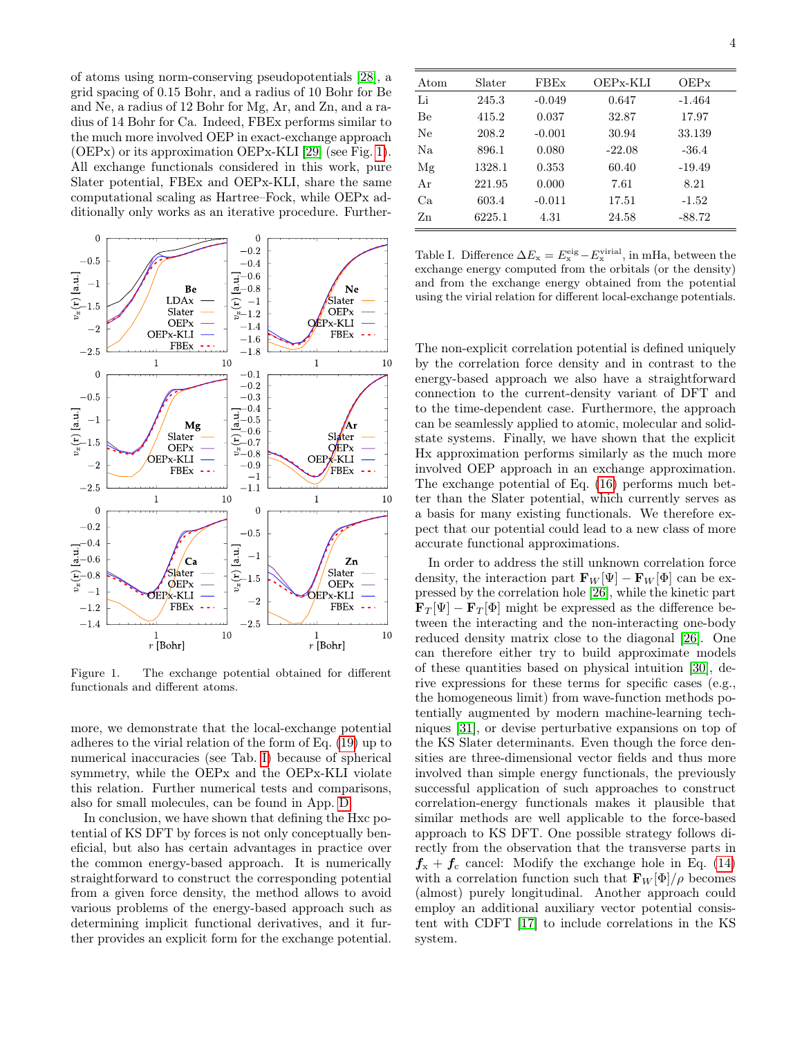of atoms using norm-conserving pseudopotentials [\[28\]](#page-4-22), a grid spacing of 0.15 Bohr, and a radius of 10 Bohr for Be and Ne, a radius of 12 Bohr for Mg, Ar, and Zn, and a radius of 14 Bohr for Ca. Indeed, FBEx performs similar to the much more involved OEP in exact-exchange approach (OEPx) or its approximation OEPx-KLI [\[29\]](#page-4-23) (see Fig. [1\)](#page-3-1). All exchange functionals considered in this work, pure Slater potential, FBEx and OEPx-KLI, share the same computational scaling as Hartree–Fock, while OEPx additionally only works as an iterative procedure. Further-



<span id="page-3-1"></span>Figure 1. The exchange potential obtained for different functionals and different atoms.

more, we demonstrate that the local-exchange potential adheres to the virial relation of the form of Eq. [\(19\)](#page-2-2) up to numerical inaccuracies (see Tab. [I\)](#page-3-0) because of spherical symmetry, while the OEPx and the OEPx-KLI violate this relation. Further numerical tests and comparisons, also for small molecules, can be found in App. [D.](#page-7-0)

In conclusion, we have shown that defining the Hxc potential of KS DFT by forces is not only conceptually beneficial, but also has certain advantages in practice over the common energy-based approach. It is numerically straightforward to construct the corresponding potential from a given force density, the method allows to avoid various problems of the energy-based approach such as determining implicit functional derivatives, and it further provides an explicit form for the exchange potential.

| Atom           | Slater | <b>FBEx</b> | OEPx-KLI | OEPX     |
|----------------|--------|-------------|----------|----------|
| Li             | 245.3  | $-0.049$    | 0.647    | $-1.464$ |
| Be             | 415.2  | 0.037       | 32.87    | 17.97    |
| Ne             | 208.2  | $-0.001$    | 30.94    | 33.139   |
| N <sub>a</sub> | 896.1  | 0.080       | $-22.08$ | $-36.4$  |
| Mg             | 1328.1 | 0.353       | 60.40    | $-19.49$ |
| Ar             | 221.95 | 0.000       | 7.61     | 8.21     |
| Ca             | 603.4  | $-0.011$    | 17.51    | $-1.52$  |
| Zn             | 6225.1 | 4.31        | 24.58    | $-88.72$ |

<span id="page-3-0"></span>Table I. Difference  $\Delta E_{\rm x} = E_{\rm x}^{\rm eig} - E_{\rm x}^{\rm virial}$ , in mHa, between the exchange energy computed from the orbitals (or the density) and from the exchange energy obtained from the potential using the virial relation for different local-exchange potentials.

The non-explicit correlation potential is defined uniquely by the correlation force density and in contrast to the energy-based approach we also have a straightforward connection to the current-density variant of DFT and to the time-dependent case. Furthermore, the approach can be seamlessly applied to atomic, molecular and solidstate systems. Finally, we have shown that the explicit Hx approximation performs similarly as the much more involved OEP approach in an exchange approximation. The exchange potential of Eq. [\(16\)](#page-2-0) performs much better than the Slater potential, which currently serves as a basis for many existing functionals. We therefore expect that our potential could lead to a new class of more accurate functional approximations.

In order to address the still unknown correlation force density, the interaction part  $\mathbf{F}_W[\Psi] - \mathbf{F}_W[\Phi]$  can be expressed by the correlation hole [\[26\]](#page-4-20), while the kinetic part  $\mathbf{F}_T[\Psi] - \mathbf{F}_T[\Phi]$  might be expressed as the difference between the interacting and the non-interacting one-body reduced density matrix close to the diagonal [\[26\]](#page-4-20). One can therefore either try to build approximate models of these quantities based on physical intuition [\[30\]](#page-4-24), derive expressions for these terms for specific cases (e.g., the homogeneous limit) from wave-function methods potentially augmented by modern machine-learning techniques [\[31\]](#page-4-25), or devise perturbative expansions on top of the KS Slater determinants. Even though the force densities are three-dimensional vector fields and thus more involved than simple energy functionals, the previously successful application of such approaches to construct correlation-energy functionals makes it plausible that similar methods are well applicable to the force-based approach to KS DFT. One possible strategy follows directly from the observation that the transverse parts in  $f_{x} + f_{c}$  cancel: Modify the exchange hole in Eq. [\(14\)](#page-1-5) with a correlation function such that  $\mathbf{F}_W[\Phi]/\rho$  becomes (almost) purely longitudinal. Another approach could employ an additional auxiliary vector potential consistent with CDFT [\[17\]](#page-4-10) to include correlations in the KS system.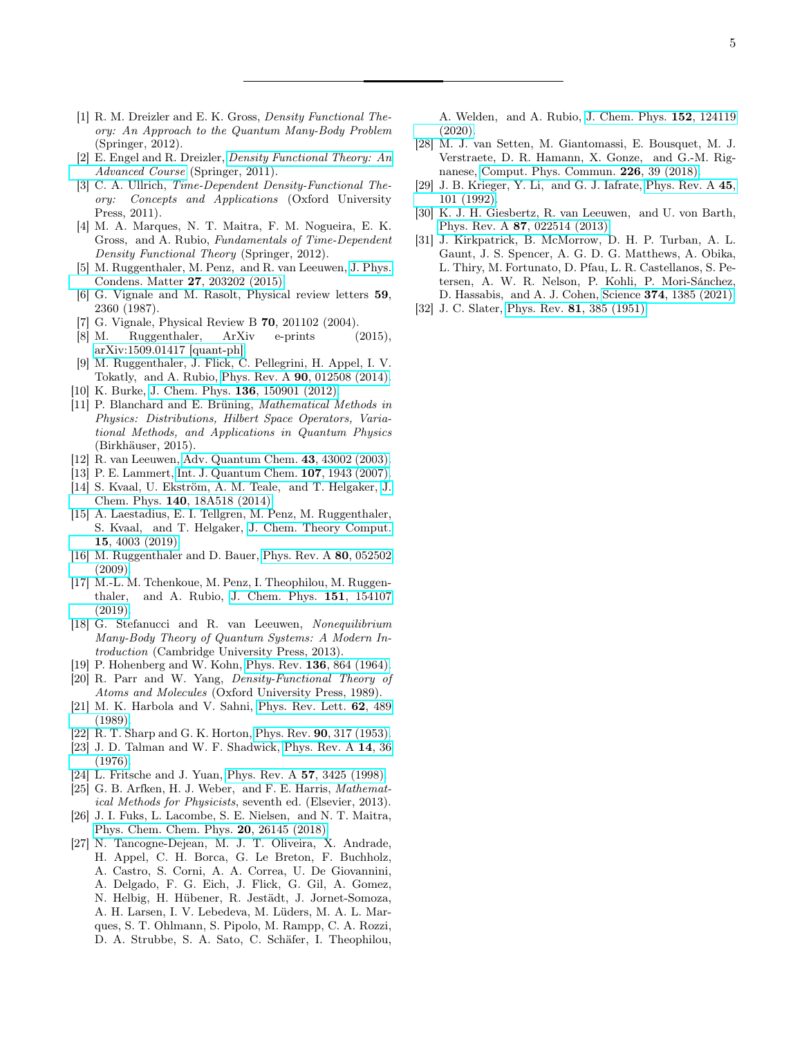- <span id="page-4-0"></span>[1] R. M. Dreizler and E. K. Gross, *Density Functional The*ory: An Approach to the Quantum Many-Body Problem (Springer, 2012).
- <span id="page-4-1"></span>[2] E. Engel and R. Dreizler, [Density Functional Theory: An](https://books.google.de/books?id=R2_RBzVu3TUC) [Advanced Course](https://books.google.de/books?id=R2_RBzVu3TUC) (Springer, 2011).
- [3] C. A. Ullrich, Time-Dependent Density-Functional Theory: Concepts and Applications (Oxford University Press, 2011).
- [4] M. A. Marques, N. T. Maitra, F. M. Nogueira, E. K. Gross, and A. Rubio, Fundamentals of Time-Dependent Density Functional Theory (Springer, 2012).
- <span id="page-4-19"></span>[5] M. Ruggenthaler, M. Penz, and R. van Leeuwen, [J. Phys.](http://dx.doi.org/10.1088/0953-8984/27/20/203202) [Condens. Matter](http://dx.doi.org/10.1088/0953-8984/27/20/203202) 27, 203202 (2015).
- [6] G. Vignale and M. Rasolt, Physical review letters 59, 2360 (1987).
- [7] G. Vignale, Physical Review B 70, 201102 (2004).
- [8] M. Ruggenthaler, ArXiv e-prints (2015), [arXiv:1509.01417 \[quant-ph\].](http://arxiv.org/abs/1509.01417)
- <span id="page-4-2"></span>[9] M. Ruggenthaler, J. Flick, C. Pellegrini, H. Appel, I. V. Tokatly, and A. Rubio, Phys. Rev. A 90[, 012508 \(2014\).](http://dx.doi.org/ 10.1103/PhysRevA.90.012508)
- <span id="page-4-3"></span>[10] K. Burke, J. Chem. Phys. **136**[, 150901 \(2012\).](http://dx.doi.org/10.1063/1.4704546)
- <span id="page-4-4"></span>[11] P. Blanchard and E. Brüning, Mathematical Methods in Physics: Distributions, Hilbert Space Operators, Variational Methods, and Applications in Quantum Physics (Birkhäuser, 2015).
- <span id="page-4-5"></span>[12] R. van Leeuwen, [Adv. Quantum Chem.](http://dx.doi.org/10.1016/S0065-3276(03)43002-5) 43, 43002 (2003).
- <span id="page-4-6"></span>[13] P. E. Lammert, [Int. J. Quantum Chem.](http://dx.doi.org/10.1002/qua.21342) **107**, 1943 (2007).
- <span id="page-4-7"></span>[14] S. Kvaal, U. Ekström, A. M. Teale, and T. Helgaker, [J.](http://dx.doi.org/10.1063/1.4867005) Chem. Phys. 140[, 18A518 \(2014\).](http://dx.doi.org/10.1063/1.4867005)
- <span id="page-4-8"></span>[15] A. Laestadius, E. I. Tellgren, M. Penz, M. Ruggenthaler, S. Kvaal, and T. Helgaker, [J. Chem. Theory Comput.](http://dx.doi.org/ 10.1021/acs.jctc.9b00141) 15[, 4003 \(2019\).](http://dx.doi.org/ 10.1021/acs.jctc.9b00141)
- <span id="page-4-9"></span>[16] M. Ruggenthaler and D. Bauer, [Phys. Rev. A](http://dx.doi.org/10.1103/PhysRevA.80.052502) 80, 052502 [\(2009\).](http://dx.doi.org/10.1103/PhysRevA.80.052502)
- <span id="page-4-10"></span>[17] M.-L. M. Tchenkoue, M. Penz, I. Theophilou, M. Ruggenthaler, and A. Rubio, [J. Chem. Phys.](http://dx.doi.org/10.1063/1.5123608) 151, 154107 [\(2019\).](http://dx.doi.org/10.1063/1.5123608)
- <span id="page-4-11"></span>[18] G. Stefanucci and R. van Leeuwen, Nonequilibrium Many-Body Theory of Quantum Systems: A Modern Introduction (Cambridge University Press, 2013).
- <span id="page-4-12"></span>[19] P. Hohenberg and W. Kohn, Phys. Rev. 136[, 864 \(1964\).](http://dx.doi.org/10.1103/PhysRev.136.B864)
- <span id="page-4-13"></span>[20] R. Parr and W. Yang, Density-Functional Theory of Atoms and Molecules (Oxford University Press, 1989).
- <span id="page-4-14"></span>[21] M. K. Harbola and V. Sahni, [Phys. Rev. Lett.](http://dx.doi.org/10.1103/PhysRevLett.62.489) 62, 489 [\(1989\).](http://dx.doi.org/10.1103/PhysRevLett.62.489)
- <span id="page-4-15"></span>[22] R. T. Sharp and G. K. Horton, Phys. Rev. **90**[, 317 \(1953\).](http://dx.doi.org/10.1103/PhysRev.90.317)
- <span id="page-4-16"></span>[23] J. D. Talman and W. F. Shadwick, [Phys. Rev. A](http://dx.doi.org/10.1103/PhysRevA.14.36) 14, 36  $(1976)$
- <span id="page-4-17"></span>[24] L. Fritsche and J. Yuan, [Phys. Rev. A](http://dx.doi.org/10.1103/PhysRevA.57.3425) **57**, 3425 (1998).
- <span id="page-4-18"></span>[25] G. B. Arfken, H. J. Weber, and F. E. Harris, Mathematical Methods for Physicists, seventh ed. (Elsevier, 2013).
- <span id="page-4-20"></span>[26] J. I. Fuks, L. Lacombe, S. E. Nielsen, and N. T. Maitra, [Phys. Chem. Chem. Phys.](http://dx.doi.org/10.1039/C8CP03957G) 20, 26145 (2018).
- <span id="page-4-21"></span>[27] N. Tancogne-Dejean, M. J. T. Oliveira, X. Andrade, H. Appel, C. H. Borca, G. Le Breton, F. Buchholz, A. Castro, S. Corni, A. A. Correa, U. De Giovannini, A. Delgado, F. G. Eich, J. Flick, G. Gil, A. Gomez, N. Helbig, H. Hübener, R. Jestädt, J. Jornet-Somoza, A. H. Larsen, I. V. Lebedeva, M. Lüders, M. A. L. Marques, S. T. Ohlmann, S. Pipolo, M. Rampp, C. A. Rozzi, D. A. Strubbe, S. A. Sato, C. Schäfer, I. Theophilou,

A. Welden, and A. Rubio, [J. Chem. Phys.](http://dx.doi.org/ 10.1063/1.5142502) 152, 124119  $(2020)$ 

- <span id="page-4-22"></span>[28] M. J. van Setten, M. Giantomassi, E. Bousquet, M. J. Verstraete, D. R. Hamann, X. Gonze, and G.-M. Rignanese, [Comput. Phys. Commun.](http://dx.doi.org/10.1016/j.cpc.2018.01.012) 226, 39 (2018).
- <span id="page-4-23"></span>[29] J. B. Krieger, Y. Li, and G. J. Iafrate, [Phys. Rev. A](http://dx.doi.org/10.1103/PhysRevA.45.101) 45, [101 \(1992\).](http://dx.doi.org/10.1103/PhysRevA.45.101)
- <span id="page-4-24"></span>[30] K. J. H. Giesbertz, R. van Leeuwen, and U. von Barth, Phys. Rev. A 87[, 022514 \(2013\).](http://dx.doi.org/10.1103/PhysRevA.87.022514)
- <span id="page-4-25"></span>[31] J. Kirkpatrick, B. McMorrow, D. H. P. Turban, A. L. Gaunt, J. S. Spencer, A. G. D. G. Matthews, A. Obika, L. Thiry, M. Fortunato, D. Pfau, L. R. Castellanos, S. Petersen, A. W. R. Nelson, P. Kohli, P. Mori-Sánchez, D. Hassabis, and A. J. Cohen, Science 374[, 1385 \(2021\).](http://dx.doi.org/10.1126/science.abj6511)
- <span id="page-4-26"></span>[32] J. C. Slater, Phys. Rev. **81**[, 385 \(1951\).](http://dx.doi.org/10.1103/PhysRev.81.385)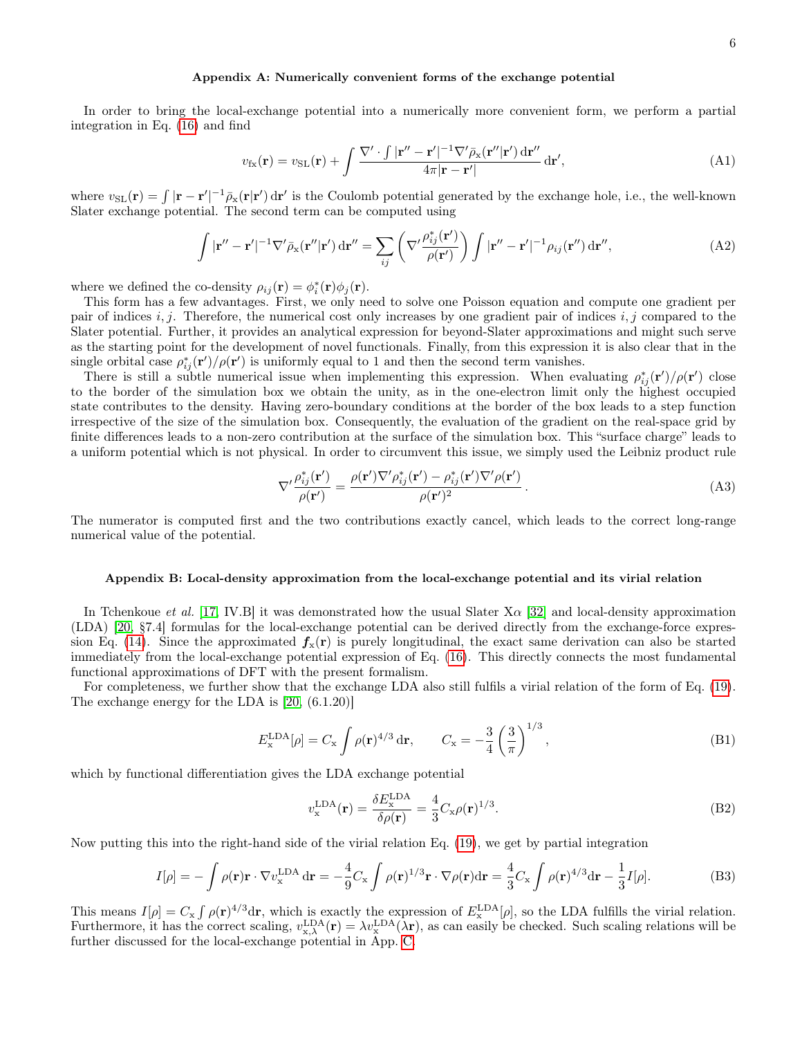## <span id="page-5-0"></span>Appendix A: Numerically convenient forms of the exchange potential

In order to bring the local-exchange potential into a numerically more convenient form, we perform a partial integration in Eq. [\(16\)](#page-2-0) and find

$$
v_{\rm fx}(\mathbf{r}) = v_{\rm SL}(\mathbf{r}) + \int \frac{\nabla' \cdot \int |\mathbf{r}'' - \mathbf{r}'|^{-1} \nabla' \bar{\rho}_{\rm x}(\mathbf{r}''|\mathbf{r}') \, \mathrm{d}\mathbf{r}''}{4\pi |\mathbf{r} - \mathbf{r}'|} \, \mathrm{d}\mathbf{r}',\tag{A1}
$$

where  $v_{SL}(\mathbf{r}) = \int |\mathbf{r} - \mathbf{r}'|^{-1} \bar{\rho}_{X}(\mathbf{r}|\mathbf{r}') d\mathbf{r}'$  is the Coulomb potential generated by the exchange hole, i.e., the well-known Slater exchange potential. The second term can be computed using

$$
\int |\mathbf{r}'' - \mathbf{r}'|^{-1} \nabla' \bar{\rho}_{\mathbf{x}}(\mathbf{r}''|\mathbf{r}') d\mathbf{r}'' = \sum_{ij} \left( \nabla' \frac{\rho_{ij}^*(\mathbf{r}')}{\rho(\mathbf{r}')} \right) \int |\mathbf{r}'' - \mathbf{r}'|^{-1} \rho_{ij}(\mathbf{r}'') d\mathbf{r}'', \tag{A2}
$$

where we defined the co-density  $\rho_{ij}(\mathbf{r}) = \phi_i^*(\mathbf{r})\phi_j(\mathbf{r}).$ 

This form has a few advantages. First, we only need to solve one Poisson equation and compute one gradient per pair of indices  $i, j$ . Therefore, the numerical cost only increases by one gradient pair of indices  $i, j$  compared to the Slater potential. Further, it provides an analytical expression for beyond-Slater approximations and might such serve as the starting point for the development of novel functionals. Finally, from this expression it is also clear that in the single orbital case  $\rho_{ij}^*(\mathbf{r}')/\rho(\mathbf{r}')$  is uniformly equal to 1 and then the second term vanishes.

There is still a subtle numerical issue when implementing this expression. When evaluating  $\rho_{ij}^*(\mathbf{r}')/\rho(\mathbf{r}')$  close to the border of the simulation box we obtain the unity, as in the one-electron limit only the highest occupied state contributes to the density. Having zero-boundary conditions at the border of the box leads to a step function irrespective of the size of the simulation box. Consequently, the evaluation of the gradient on the real-space grid by finite differences leads to a non-zero contribution at the surface of the simulation box. This "surface charge" leads to a uniform potential which is not physical. In order to circumvent this issue, we simply used the Leibniz product rule

$$
\nabla' \frac{\rho_{ij}^*(\mathbf{r}')}{\rho(\mathbf{r}')} = \frac{\rho(\mathbf{r}') \nabla' \rho_{ij}^*(\mathbf{r}') - \rho_{ij}^*(\mathbf{r}') \nabla' \rho(\mathbf{r}')} {\rho(\mathbf{r}')^2}.
$$
\n(A3)

The numerator is computed first and the two contributions exactly cancel, which leads to the correct long-range numerical value of the potential.

#### <span id="page-5-1"></span>Appendix B: Local-density approximation from the local-exchange potential and its virial relation

In Tchenkoue et al. [\[17,](#page-4-10) IV.B] it was demonstrated how the usual Slater  $X\alpha$  [\[32\]](#page-4-26) and local-density approximation (LDA) [\[20,](#page-4-13) §7.4] formulas for the local-exchange potential can be derived directly from the exchange-force expres-sion Eq. [\(14\)](#page-1-5). Since the approximated  $f_x(\mathbf{r})$  is purely longitudinal, the exact same derivation can also be started immediately from the local-exchange potential expression of Eq. [\(16\)](#page-2-0). This directly connects the most fundamental functional approximations of DFT with the present formalism.

For completeness, we further show that the exchange LDA also still fulfils a virial relation of the form of Eq. [\(19\)](#page-2-2). The exchange energy for the LDA is [\[20,](#page-4-13) (6.1.20)]

$$
E_{\rm x}^{\rm LDA}[\rho] = C_{\rm x} \int \rho(\mathbf{r})^{4/3} \,\mathrm{d}\mathbf{r}, \qquad C_{\rm x} = -\frac{3}{4} \left(\frac{3}{\pi}\right)^{1/3},\tag{B1}
$$

which by functional differentiation gives the LDA exchange potential

$$
v_{\mathbf{x}}^{\text{LDA}}(\mathbf{r}) = \frac{\delta E_{\mathbf{x}}^{\text{LDA}}}{\delta \rho(\mathbf{r})} = \frac{4}{3} C_{\mathbf{x}} \rho(\mathbf{r})^{1/3}.
$$
 (B2)

Now putting this into the right-hand side of the virial relation Eq. [\(19\)](#page-2-2), we get by partial integration

$$
I[\rho] = -\int \rho(\mathbf{r}) \mathbf{r} \cdot \nabla v_{\mathbf{x}}^{\text{LDA}} \, \mathrm{d}\mathbf{r} = -\frac{4}{9} C_{\mathbf{x}} \int \rho(\mathbf{r})^{1/3} \mathbf{r} \cdot \nabla \rho(\mathbf{r}) \mathrm{d}\mathbf{r} = \frac{4}{3} C_{\mathbf{x}} \int \rho(\mathbf{r})^{4/3} \mathrm{d}\mathbf{r} - \frac{1}{3} I[\rho]. \tag{B3}
$$

This means  $I[\rho] = C_x \int \rho(\mathbf{r})^{4/3} d\mathbf{r}$ , which is exactly the expression of  $E_x^{\text{LDA}}[\rho]$ , so the LDA fulfills the virial relation. Furthermore, it has the correct scaling,  $v_{x,\lambda}^{\text{LDA}}(\mathbf{r}) = \lambda v_x^{\text{LDA}}(\lambda \mathbf{r})$ , as can easily be checked. Such scaling relations will be further discussed for the local-exchange potential in App. [C.](#page-6-0)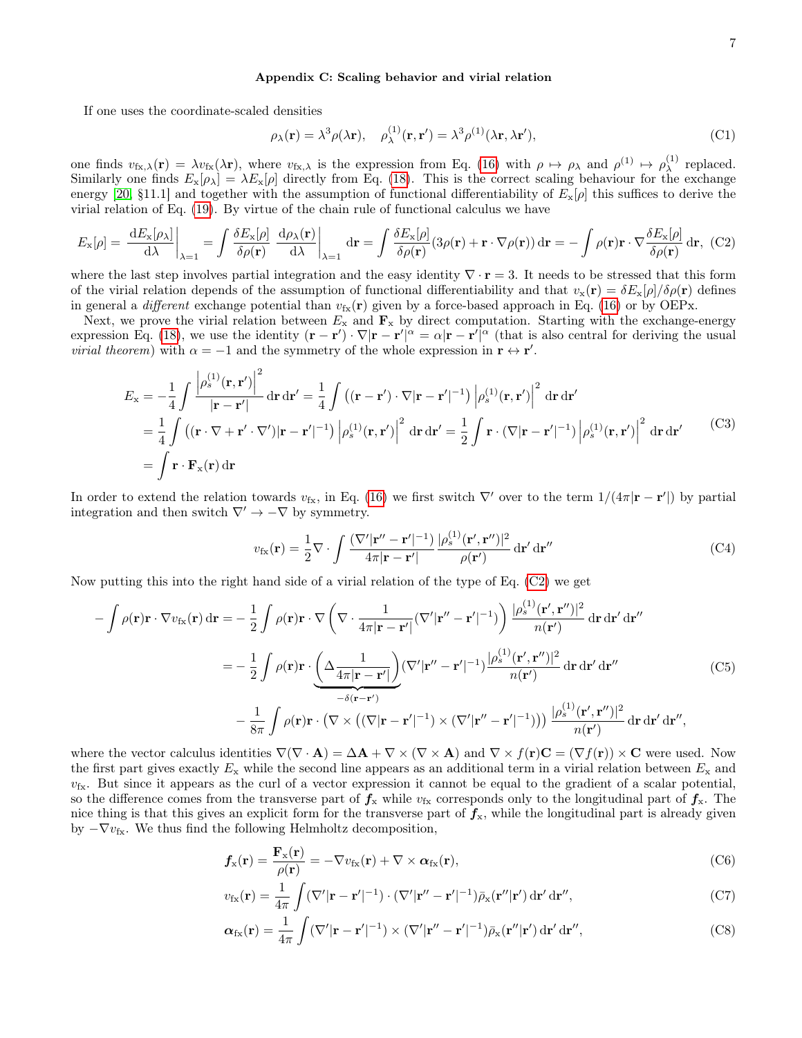## <span id="page-6-0"></span>Appendix C: Scaling behavior and virial relation

If one uses the coordinate-scaled densities

$$
\rho_{\lambda}(\mathbf{r}) = \lambda^3 \rho(\lambda \mathbf{r}), \quad \rho_{\lambda}^{(1)}(\mathbf{r}, \mathbf{r}') = \lambda^3 \rho^{(1)}(\lambda \mathbf{r}, \lambda \mathbf{r}'), \tag{C1}
$$

one finds  $v_{fx,\lambda}(\mathbf{r}) = \lambda v_{fx}(\lambda \mathbf{r})$ , where  $v_{fx,\lambda}$  is the expression from Eq. [\(16\)](#page-2-0) with  $\rho \mapsto \rho_{\lambda}$  and  $\rho^{(1)} \mapsto \rho_{\lambda}^{(1)}$  $\lambda^{\left(1\right)}$  replaced. Similarly one finds  $E_x[\rho_\lambda] = \lambda E_x[\rho]$  directly from Eq. [\(18\)](#page-2-4). This is the correct scaling behaviour for the exchange energy [\[20,](#page-4-13) §11.1] and together with the assumption of functional differentiability of  $E_{\rm x}[\rho]$  this suffices to derive the virial relation of Eq. [\(19\)](#page-2-2). By virtue of the chain rule of functional calculus we have

<span id="page-6-1"></span>
$$
E_{\mathbf{x}}[\rho] = \left. \frac{\mathrm{d}E_{\mathbf{x}}[\rho_{\lambda}]}{\mathrm{d}\lambda} \right|_{\lambda=1} = \int \frac{\delta E_{\mathbf{x}}[\rho]}{\delta \rho(\mathbf{r})} \left. \frac{\mathrm{d}\rho_{\lambda}(\mathbf{r})}{\mathrm{d}\lambda} \right|_{\lambda=1} \, \mathrm{d}\mathbf{r} = \int \frac{\delta E_{\mathbf{x}}[\rho]}{\delta \rho(\mathbf{r})} (3\rho(\mathbf{r}) + \mathbf{r} \cdot \nabla \rho(\mathbf{r})) \, \mathrm{d}\mathbf{r} = -\int \rho(\mathbf{r}) \mathbf{r} \cdot \nabla \frac{\delta E_{\mathbf{x}}[\rho]}{\delta \rho(\mathbf{r})} \, \mathrm{d}\mathbf{r}, \tag{C2}
$$

where the last step involves partial integration and the easy identity  $\nabla \cdot \mathbf{r} = 3$ . It needs to be stressed that this form of the virial relation depends of the assumption of functional differentiability and that  $v_x(\mathbf{r}) = \delta E_x[\rho] / \delta \rho(\mathbf{r})$  defines in general a *different* exchange potential than  $v_{\text{fx}}(\mathbf{r})$  given by a force-based approach in Eq. [\(16\)](#page-2-0) or by OEPx.

Next, we prove the virial relation between  $E_x$  and  $\mathbf{F}_x$  by direct computation. Starting with the exchange-energy expression Eq. [\(18\)](#page-2-4), we use the identity  $(\mathbf{r} - \mathbf{r}') \cdot \nabla |\mathbf{r} - \mathbf{r}'|^\alpha = \alpha |\mathbf{r} - \mathbf{r}'|^\alpha$  (that is also central for deriving the usual *virial theorem*) with  $\alpha = -1$  and the symmetry of the whole expression in  $\mathbf{r} \leftrightarrow \mathbf{r}'$ .

$$
E_{\mathbf{x}} = -\frac{1}{4} \int \frac{\left|\rho_s^{(1)}(\mathbf{r}, \mathbf{r}')\right|^2}{|\mathbf{r} - \mathbf{r}'|} d\mathbf{r} d\mathbf{r}' = \frac{1}{4} \int \left( (\mathbf{r} - \mathbf{r}') \cdot \nabla |\mathbf{r} - \mathbf{r}'|^{-1} \right) \left|\rho_s^{(1)}(\mathbf{r}, \mathbf{r}')\right|^2 d\mathbf{r} d\mathbf{r}'
$$
  
\n
$$
= \frac{1}{4} \int \left( (\mathbf{r} \cdot \nabla + \mathbf{r}' \cdot \nabla') |\mathbf{r} - \mathbf{r}'|^{-1} \right) \left|\rho_s^{(1)}(\mathbf{r}, \mathbf{r}')\right|^2 d\mathbf{r} d\mathbf{r}' = \frac{1}{2} \int \mathbf{r} \cdot (\nabla |\mathbf{r} - \mathbf{r}'|^{-1}) \left|\rho_s^{(1)}(\mathbf{r}, \mathbf{r}')\right|^2 d\mathbf{r} d\mathbf{r}'
$$
(C3)  
\n
$$
= \int \mathbf{r} \cdot \mathbf{F}_{\mathbf{x}}(\mathbf{r}) d\mathbf{r}
$$

In order to extend the relation towards  $v_{fx}$ , in Eq. [\(16\)](#page-2-0) we first switch  $\nabla'$  over to the term  $1/(4\pi|\mathbf{r}-\mathbf{r}'|)$  by partial integration and then switch  $\nabla' \rightarrow -\nabla$  by symmetry.

$$
v_{\rm fx}(\mathbf{r}) = \frac{1}{2} \nabla \cdot \int \frac{(\nabla' |\mathbf{r}'' - \mathbf{r}'|^{-1})}{4\pi |\mathbf{r} - \mathbf{r}'|} \frac{|\rho_s^{(1)}(\mathbf{r}', \mathbf{r}'')|^2}{\rho(\mathbf{r}')} d\mathbf{r}' d\mathbf{r}''
$$
(C4)

Now putting this into the right hand side of a virial relation of the type of Eq. [\(C2\)](#page-6-1) we get

$$
-\int \rho(\mathbf{r}) \mathbf{r} \cdot \nabla v_{fx}(\mathbf{r}) d\mathbf{r} = -\frac{1}{2} \int \rho(\mathbf{r}) \mathbf{r} \cdot \nabla \left( \nabla \cdot \frac{1}{4\pi |\mathbf{r} - \mathbf{r}'|} (\nabla' |\mathbf{r}'' - \mathbf{r}'|^{-1}) \right) \frac{|\rho_s^{(1)}(\mathbf{r}', \mathbf{r}'')|^2}{n(\mathbf{r}')} d\mathbf{r} d\mathbf{r}' d\mathbf{r}''
$$

$$
= -\frac{1}{2} \int \rho(\mathbf{r}) \mathbf{r} \cdot \underbrace{\left( \Delta \frac{1}{4\pi |\mathbf{r} - \mathbf{r}'|} \right)}_{-\delta(\mathbf{r} - \mathbf{r}')} (\nabla' |\mathbf{r}'' - \mathbf{r}'|^{-1}) \frac{|\rho_s^{(1)}(\mathbf{r}', \mathbf{r}'')|^2}{n(\mathbf{r}')} d\mathbf{r} d\mathbf{r}' d\mathbf{r}''
$$
(C5)
$$
- \frac{1}{8\pi} \int \rho(\mathbf{r}) \mathbf{r} \cdot (\nabla \times ((\nabla |\mathbf{r} - \mathbf{r}'|^{-1}) \times (\nabla' |\mathbf{r}'' - \mathbf{r}'|^{-1}))) \frac{|\rho_s^{(1)}(\mathbf{r}', \mathbf{r}'')|^2}{n(\mathbf{r}')} d\mathbf{r} d\mathbf{r}' d\mathbf{r}'',
$$

where the vector calculus identities  $\nabla(\nabla \cdot \mathbf{A}) = \Delta \mathbf{A} + \nabla \times (\nabla \times \mathbf{A})$  and  $\nabla \times f(\mathbf{r})\mathbf{C} = (\nabla f(\mathbf{r})) \times \mathbf{C}$  were used. Now the first part gives exactly  $E_x$  while the second line appears as an additional term in a virial relation between  $E_x$  and  $v_{\rm fx}$ . But since it appears as the curl of a vector expression it cannot be equal to the gradient of a scalar potential, so the difference comes from the transverse part of  $f_x$  while  $v_{fx}$  corresponds only to the longitudinal part of  $f_x$ . The nice thing is that this gives an explicit form for the transverse part of  $f_x$ , while the longitudinal part is already given by  $-\nabla v_{fx}$ . We thus find the following Helmholtz decomposition,

$$
f_{\rm x}(\mathbf{r}) = \frac{\mathbf{F}_{\rm x}(\mathbf{r})}{\rho(\mathbf{r})} = -\nabla v_{\rm fx}(\mathbf{r}) + \nabla \times \boldsymbol{\alpha}_{\rm fx}(\mathbf{r}),
$$
\n(C6)

$$
v_{\rm fx}(\mathbf{r}) = \frac{1}{4\pi} \int (\nabla' |\mathbf{r} - \mathbf{r}'|^{-1}) \cdot (\nabla' |\mathbf{r}'' - \mathbf{r}'|^{-1}) \bar{\rho}_{\rm x}(\mathbf{r}''|\mathbf{r}') \,\mathrm{d}\mathbf{r}' \,\mathrm{d}\mathbf{r}'',\tag{C7}
$$

$$
\alpha_{\rm fx}(\mathbf{r}) = \frac{1}{4\pi} \int (\nabla' |\mathbf{r} - \mathbf{r}'|^{-1}) \times (\nabla' |\mathbf{r}'' - \mathbf{r}'|^{-1}) \bar{\rho}_{\rm x}(\mathbf{r}''|\mathbf{r}') \,\mathrm{d}\mathbf{r}' \,\mathrm{d}\mathbf{r}'', \tag{C8}
$$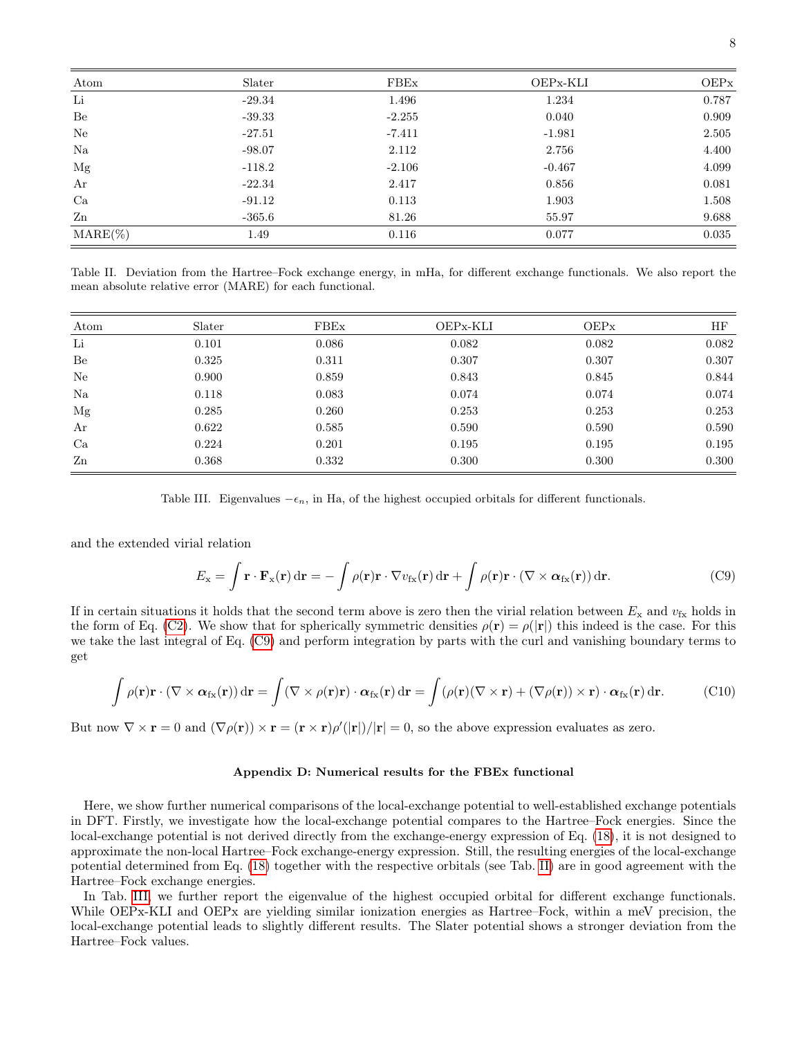| Atom              | Slater   | FBEx     | OEPx-KLI | <b>OEPx</b> |
|-------------------|----------|----------|----------|-------------|
| Li                | $-29.34$ | 1.496    | 1.234    | 0.787       |
| Be                | $-39.33$ | $-2.255$ | 0.040    | 0.909       |
| Ne                | $-27.51$ | $-7.411$ | $-1.981$ | 2.505       |
| Na                | $-98.07$ | 2.112    | 2.756    | 4.400       |
| Mg                | $-118.2$ | $-2.106$ | $-0.467$ | 4.099       |
| Ar                | $-22.34$ | 2.417    | 0.856    | 0.081       |
| Ca                | $-91.12$ | 0.113    | 1.903    | 1.508       |
| Zn                | $-365.6$ | 81.26    | 55.97    | 9.688       |
| $\text{MARE}(\%)$ | 1.49     | 0.116    | 0.077    | 0.035       |

<span id="page-7-2"></span>Table II. Deviation from the Hartree–Fock exchange energy, in mHa, for different exchange functionals. We also report the mean absolute relative error (MARE) for each functional.

| Atom           | Slater | FBEx  | OEPx-KLI | <b>OEPx</b> | ΗF    |
|----------------|--------|-------|----------|-------------|-------|
| Li             | 0.101  | 0.086 | 0.082    | 0.082       | 0.082 |
| Be             | 0.325  | 0.311 | 0.307    | 0.307       | 0.307 |
| Ne             | 0.900  | 0.859 | 0.843    | 0.845       | 0.844 |
| Na             | 0.118  | 0.083 | 0.074    | 0.074       | 0.074 |
| Mg             | 0.285  | 0.260 | 0.253    | 0.253       | 0.253 |
| Ar             | 0.622  | 0.585 | 0.590    | 0.590       | 0.590 |
| Ca             | 0.224  | 0.201 | 0.195    | 0.195       | 0.195 |
| $\mathbf{Z}$ n | 0.368  | 0.332 | 0.300    | 0.300       | 0.300 |

<span id="page-7-3"></span>Table III. Eigenvalues  $-\epsilon_n$ , in Ha, of the highest occupied orbitals for different functionals.

and the extended virial relation

<span id="page-7-1"></span>
$$
E_{\mathbf{x}} = \int \mathbf{r} \cdot \mathbf{F}_{\mathbf{x}}(\mathbf{r}) d\mathbf{r} = -\int \rho(\mathbf{r}) \mathbf{r} \cdot \nabla v_{\mathbf{f}\mathbf{x}}(\mathbf{r}) d\mathbf{r} + \int \rho(\mathbf{r}) \mathbf{r} \cdot (\nabla \times \boldsymbol{\alpha}_{\mathbf{f}\mathbf{x}}(\mathbf{r})) d\mathbf{r}.
$$
 (C9)

If in certain situations it holds that the second term above is zero then the virial relation between  $E_x$  and  $v_{fx}$  holds in the form of Eq. [\(C2\)](#page-6-1). We show that for spherically symmetric densities  $\rho(\mathbf{r}) = \rho(|\mathbf{r}|)$  this indeed is the case. For this we take the last integral of Eq. [\(C9\)](#page-7-1) and perform integration by parts with the curl and vanishing boundary terms to get

$$
\int \rho(\mathbf{r}) \mathbf{r} \cdot (\nabla \times \boldsymbol{\alpha}_{\rm fx}(\mathbf{r})) d\mathbf{r} = \int (\nabla \times \rho(\mathbf{r}) \mathbf{r}) \cdot \boldsymbol{\alpha}_{\rm fx}(\mathbf{r}) d\mathbf{r} = \int (\rho(\mathbf{r})(\nabla \times \mathbf{r}) + (\nabla \rho(\mathbf{r})) \times \mathbf{r}) \cdot \boldsymbol{\alpha}_{\rm fx}(\mathbf{r}) d\mathbf{r}.
$$
 (C10)

But now  $\nabla \times \mathbf{r} = 0$  and  $(\nabla \rho(\mathbf{r})) \times \mathbf{r} = (\mathbf{r} \times \mathbf{r})\rho'(|\mathbf{r}|)/|\mathbf{r}| = 0$ , so the above expression evaluates as zero.

### <span id="page-7-0"></span>Appendix D: Numerical results for the FBEx functional

Here, we show further numerical comparisons of the local-exchange potential to well-established exchange potentials in DFT. Firstly, we investigate how the local-exchange potential compares to the Hartree–Fock energies. Since the local-exchange potential is not derived directly from the exchange-energy expression of Eq. [\(18\)](#page-2-4), it is not designed to approximate the non-local Hartree–Fock exchange-energy expression. Still, the resulting energies of the local-exchange potential determined from Eq. [\(18\)](#page-2-4) together with the respective orbitals (see Tab. [II\)](#page-7-2) are in good agreement with the Hartree–Fock exchange energies.

In Tab. [III,](#page-7-3) we further report the eigenvalue of the highest occupied orbital for different exchange functionals. While OEPx-KLI and OEPx are yielding similar ionization energies as Hartree–Fock, within a meV precision, the local-exchange potential leads to slightly different results. The Slater potential shows a stronger deviation from the Hartree–Fock values.